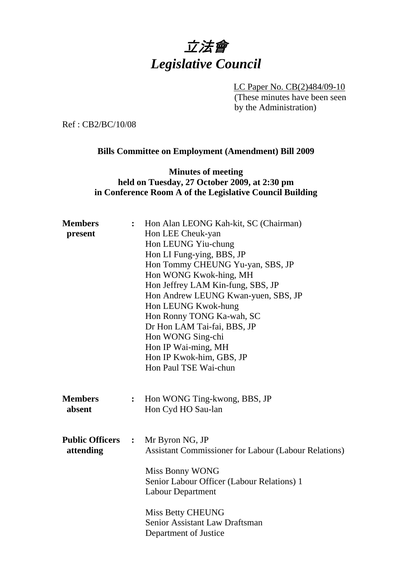# 立法會 *Legislative Council*

LC Paper No. CB(2)484/09-10 (These minutes have been seen by the Administration)

Ref : CB2/BC/10/08

### **Bills Committee on Employment (Amendment) Bill 2009**

## **Minutes of meeting held on Tuesday, 27 October 2009, at 2:30 pm in Conference Room A of the Legislative Council Building**

| <b>Members</b>         |                | Hon Alan LEONG Kah-kit, SC (Chairman)                       |
|------------------------|----------------|-------------------------------------------------------------|
| present                |                | Hon LEE Cheuk-yan                                           |
|                        |                | Hon LEUNG Yiu-chung                                         |
|                        |                | Hon LI Fung-ying, BBS, JP                                   |
|                        |                | Hon Tommy CHEUNG Yu-yan, SBS, JP                            |
|                        |                | Hon WONG Kwok-hing, MH                                      |
|                        |                | Hon Jeffrey LAM Kin-fung, SBS, JP                           |
|                        |                | Hon Andrew LEUNG Kwan-yuen, SBS, JP                         |
|                        |                | Hon LEUNG Kwok-hung                                         |
|                        |                | Hon Ronny TONG Ka-wah, SC                                   |
|                        |                | Dr Hon LAM Tai-fai, BBS, JP                                 |
|                        |                | Hon WONG Sing-chi                                           |
|                        |                | Hon IP Wai-ming, MH                                         |
|                        |                | Hon IP Kwok-him, GBS, JP                                    |
|                        |                | Hon Paul TSE Wai-chun                                       |
| <b>Members</b>         |                |                                                             |
| absent                 | $\ddot{\cdot}$ | Hon WONG Ting-kwong, BBS, JP                                |
|                        |                | Hon Cyd HO Sau-lan                                          |
| <b>Public Officers</b> | $\mathbf{L}$   | Mr Byron NG, JP                                             |
| attending              |                | <b>Assistant Commissioner for Labour (Labour Relations)</b> |
|                        |                | Miss Bonny WONG                                             |
|                        |                | Senior Labour Officer (Labour Relations) 1                  |
|                        |                | <b>Labour Department</b>                                    |
|                        |                | <b>Miss Betty CHEUNG</b>                                    |
|                        |                | Senior Assistant Law Draftsman                              |
|                        |                | Department of Justice                                       |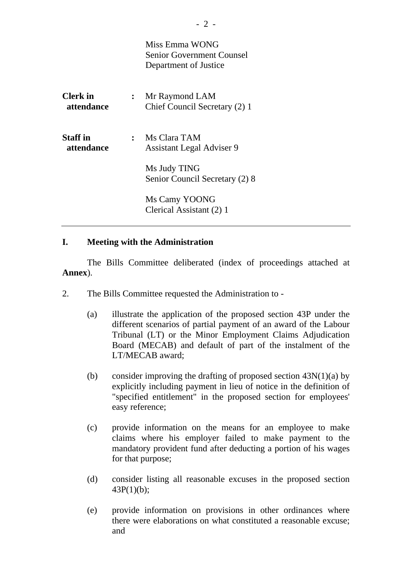|                               |                | Miss Emma WONG<br><b>Senior Government Counsel</b><br>Department of Justice |
|-------------------------------|----------------|-----------------------------------------------------------------------------|
| <b>Clerk</b> in<br>attendance | $\ddot{\cdot}$ | Mr Raymond LAM<br>Chief Council Secretary (2) 1                             |
| <b>Staff</b> in<br>attendance | $\ddot{\cdot}$ | Ms Clara TAM<br><b>Assistant Legal Adviser 9</b>                            |
|                               |                | Ms Judy TING<br>Senior Council Secretary (2) 8                              |
|                               |                | Ms Camy YOONG<br>Clerical Assistant (2) 1                                   |

#### **I. Meeting with the Administration**

1. The Bills Committee deliberated (index of proceedings attached at **Annex**).

- 2. The Bills Committee requested the Administration to
	- (a) illustrate the application of the proposed section 43P under the different scenarios of partial payment of an award of the Labour Tribunal (LT) or the Minor Employment Claims Adjudication Board (MECAB) and default of part of the instalment of the LT/MECAB award;
	- (b) consider improving the drafting of proposed section  $43N(1)(a)$  by explicitly including payment in lieu of notice in the definition of "specified entitlement" in the proposed section for employees' easy reference;
	- (c) provide information on the means for an employee to make claims where his employer failed to make payment to the mandatory provident fund after deducting a portion of his wages for that purpose;
	- (d) consider listing all reasonable excuses in the proposed section 43P(1)(b);
	- (e) provide information on provisions in other ordinances where there were elaborations on what constituted a reasonable excuse; and

- 2 -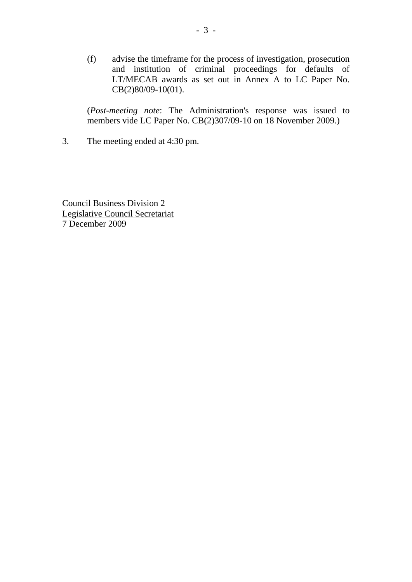(f) advise the timeframe for the process of investigation, prosecution and institution of criminal proceedings for defaults of LT/MECAB awards as set out in Annex A to LC Paper No. CB(2)80/09-10(01).

(*Post-meeting note*: The Administration's response was issued to members vide LC Paper No. CB(2)307/09-10 on 18 November 2009.)

3. The meeting ended at 4:30 pm.

Council Business Division 2 Legislative Council Secretariat 7 December 2009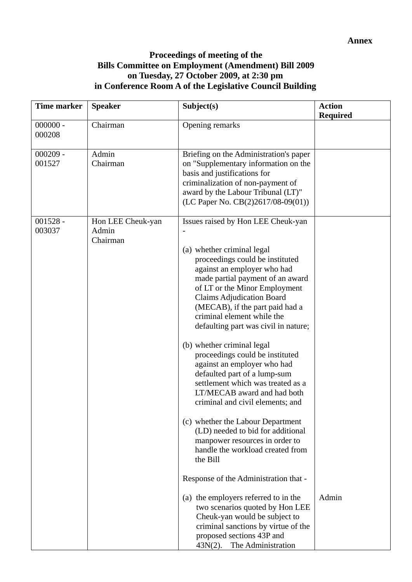## **Proceedings of meeting of the Bills Committee on Employment (Amendment) Bill 2009 on Tuesday, 27 October 2009, at 2:30 pm in Conference Room A of the Legislative Council Building**

| <b>Time marker</b>   | <b>Speaker</b>                         | Subject(s)                                                                                                                                                                                                                                                                                                                                                                                                                                                                                                                                                                                                                                                                                                                                                                                                                                                                                                    | <b>Action</b><br><b>Required</b> |
|----------------------|----------------------------------------|---------------------------------------------------------------------------------------------------------------------------------------------------------------------------------------------------------------------------------------------------------------------------------------------------------------------------------------------------------------------------------------------------------------------------------------------------------------------------------------------------------------------------------------------------------------------------------------------------------------------------------------------------------------------------------------------------------------------------------------------------------------------------------------------------------------------------------------------------------------------------------------------------------------|----------------------------------|
| $000000 -$<br>000208 | Chairman                               | Opening remarks                                                                                                                                                                                                                                                                                                                                                                                                                                                                                                                                                                                                                                                                                                                                                                                                                                                                                               |                                  |
| $000209 -$<br>001527 | Admin<br>Chairman                      | Briefing on the Administration's paper<br>on "Supplementary information on the<br>basis and justifications for<br>criminalization of non-payment of<br>award by the Labour Tribunal (LT)"<br>(LC Paper No. $CB(2)2617/08-09(01))$                                                                                                                                                                                                                                                                                                                                                                                                                                                                                                                                                                                                                                                                             |                                  |
| $001528 -$<br>003037 | Hon LEE Cheuk-yan<br>Admin<br>Chairman | Issues raised by Hon LEE Cheuk-yan<br>(a) whether criminal legal<br>proceedings could be instituted<br>against an employer who had<br>made partial payment of an award<br>of LT or the Minor Employment<br><b>Claims Adjudication Board</b><br>(MECAB), if the part paid had a<br>criminal element while the<br>defaulting part was civil in nature;<br>(b) whether criminal legal<br>proceedings could be instituted<br>against an employer who had<br>defaulted part of a lump-sum<br>settlement which was treated as a<br>LT/MECAB award and had both<br>criminal and civil elements; and<br>(c) whether the Labour Department<br>(LD) needed to bid for additional<br>manpower resources in order to<br>handle the workload created from<br>the Bill<br>Response of the Administration that -<br>(a) the employers referred to in the<br>two scenarios quoted by Hon LEE<br>Cheuk-yan would be subject to | Admin                            |
|                      |                                        | criminal sanctions by virtue of the<br>proposed sections 43P and<br>The Administration<br>$43N(2)$ .                                                                                                                                                                                                                                                                                                                                                                                                                                                                                                                                                                                                                                                                                                                                                                                                          |                                  |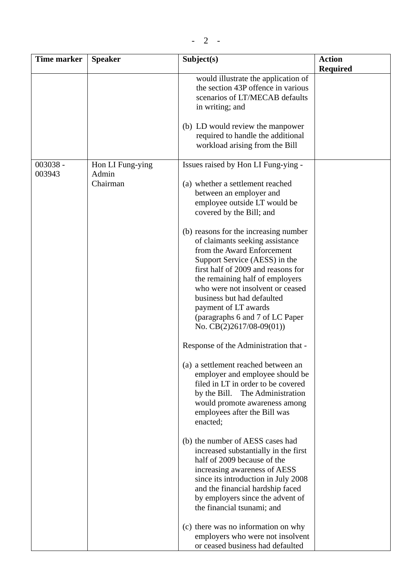| <b>Time marker</b> | <b>Speaker</b>                        | Subject(s)                                                                                                                                                                                                                                                                                                                                                                                                                                                                                                                                                                                                                                                                                                                                                                                                                                                                                                                                                                                                                                                                                                    | <b>Action</b><br><b>Required</b> |
|--------------------|---------------------------------------|---------------------------------------------------------------------------------------------------------------------------------------------------------------------------------------------------------------------------------------------------------------------------------------------------------------------------------------------------------------------------------------------------------------------------------------------------------------------------------------------------------------------------------------------------------------------------------------------------------------------------------------------------------------------------------------------------------------------------------------------------------------------------------------------------------------------------------------------------------------------------------------------------------------------------------------------------------------------------------------------------------------------------------------------------------------------------------------------------------------|----------------------------------|
|                    |                                       | would illustrate the application of<br>the section 43P offence in various<br>scenarios of LT/MECAB defaults<br>in writing; and                                                                                                                                                                                                                                                                                                                                                                                                                                                                                                                                                                                                                                                                                                                                                                                                                                                                                                                                                                                |                                  |
|                    |                                       | (b) LD would review the manpower<br>required to handle the additional<br>workload arising from the Bill                                                                                                                                                                                                                                                                                                                                                                                                                                                                                                                                                                                                                                                                                                                                                                                                                                                                                                                                                                                                       |                                  |
| 003038 -<br>003943 | Hon LI Fung-ying<br>Admin<br>Chairman | Issues raised by Hon LI Fung-ying -<br>(a) whether a settlement reached<br>between an employer and<br>employee outside LT would be<br>covered by the Bill; and<br>(b) reasons for the increasing number<br>of claimants seeking assistance<br>from the Award Enforcement<br>Support Service (AESS) in the<br>first half of 2009 and reasons for<br>the remaining half of employers<br>who were not insolvent or ceased<br>business but had defaulted<br>payment of LT awards<br>(paragraphs 6 and 7 of LC Paper<br>No. $CB(2)2617/08-09(01)$<br>Response of the Administration that -<br>(a) a settlement reached between an<br>employer and employee should be<br>filed in LT in order to be covered<br>by the Bill. The Administration<br>would promote awareness among<br>employees after the Bill was<br>enacted;<br>(b) the number of AESS cases had<br>increased substantially in the first<br>half of 2009 because of the<br>increasing awareness of AESS<br>since its introduction in July 2008<br>and the financial hardship faced<br>by employers since the advent of<br>the financial tsunami; and |                                  |
|                    |                                       | (c) there was no information on why<br>employers who were not insolvent<br>or ceased business had defaulted                                                                                                                                                                                                                                                                                                                                                                                                                                                                                                                                                                                                                                                                                                                                                                                                                                                                                                                                                                                                   |                                  |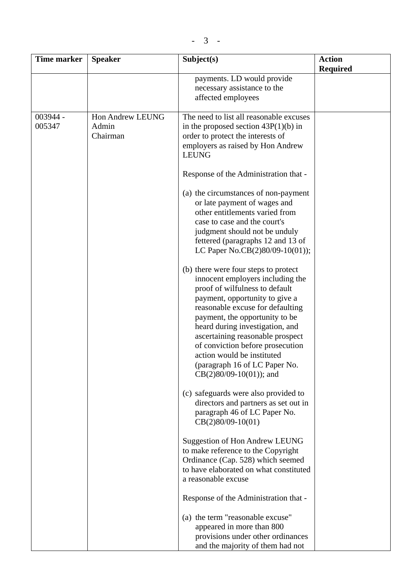| <b>Time marker</b> | <b>Speaker</b>                        | Subject(s)                                                                                                                                                                                                                                                                                                                                                                                                                | <b>Action</b><br><b>Required</b> |
|--------------------|---------------------------------------|---------------------------------------------------------------------------------------------------------------------------------------------------------------------------------------------------------------------------------------------------------------------------------------------------------------------------------------------------------------------------------------------------------------------------|----------------------------------|
|                    |                                       | payments. LD would provide<br>necessary assistance to the<br>affected employees                                                                                                                                                                                                                                                                                                                                           |                                  |
| 003944 -<br>005347 | Hon Andrew LEUNG<br>Admin<br>Chairman | The need to list all reasonable excuses<br>in the proposed section $43P(1)(b)$ in<br>order to protect the interests of<br>employers as raised by Hon Andrew<br><b>LEUNG</b>                                                                                                                                                                                                                                               |                                  |
|                    |                                       | Response of the Administration that -                                                                                                                                                                                                                                                                                                                                                                                     |                                  |
|                    |                                       | (a) the circumstances of non-payment<br>or late payment of wages and<br>other entitlements varied from<br>case to case and the court's<br>judgment should not be unduly<br>fettered (paragraphs 12 and 13 of<br>LC Paper No.CB(2)80/09-10(01));                                                                                                                                                                           |                                  |
|                    |                                       | (b) there were four steps to protect<br>innocent employers including the<br>proof of wilfulness to default<br>payment, opportunity to give a<br>reasonable excuse for defaulting<br>payment, the opportunity to be<br>heard during investigation, and<br>ascertaining reasonable prospect<br>of conviction before prosecution<br>action would be instituted<br>(paragraph 16 of LC Paper No.<br>$CB(2)80/09-10(01)$ ; and |                                  |
|                    |                                       | (c) safeguards were also provided to<br>directors and partners as set out in<br>paragraph 46 of LC Paper No.<br>$CB(2)80/09-10(01)$                                                                                                                                                                                                                                                                                       |                                  |
|                    |                                       | <b>Suggestion of Hon Andrew LEUNG</b><br>to make reference to the Copyright<br>Ordinance (Cap. 528) which seemed<br>to have elaborated on what constituted<br>a reasonable excuse                                                                                                                                                                                                                                         |                                  |
|                    |                                       | Response of the Administration that -                                                                                                                                                                                                                                                                                                                                                                                     |                                  |
|                    |                                       | (a) the term "reasonable excuse"<br>appeared in more than 800<br>provisions under other ordinances<br>and the majority of them had not                                                                                                                                                                                                                                                                                    |                                  |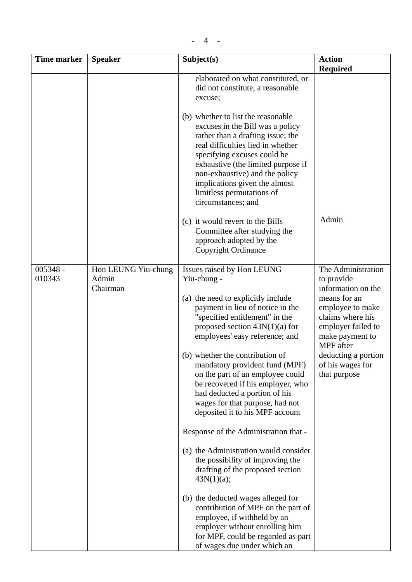| <b>Time marker</b>   | <b>Speaker</b>               | Subject(s)                                                                                                                                                                                                                                                                                                                                  | <b>Action</b>                                                                                              |
|----------------------|------------------------------|---------------------------------------------------------------------------------------------------------------------------------------------------------------------------------------------------------------------------------------------------------------------------------------------------------------------------------------------|------------------------------------------------------------------------------------------------------------|
|                      |                              |                                                                                                                                                                                                                                                                                                                                             | <b>Required</b>                                                                                            |
|                      |                              | elaborated on what constituted, or<br>did not constitute, a reasonable<br>excuse;                                                                                                                                                                                                                                                           |                                                                                                            |
|                      |                              | (b) whether to list the reasonable<br>excuses in the Bill was a policy<br>rather than a drafting issue; the<br>real difficulties lied in whether<br>specifying excuses could be<br>exhaustive (the limited purpose if<br>non-exhaustive) and the policy<br>implications given the almost<br>limitless permutations of<br>circumstances; and |                                                                                                            |
|                      |                              | (c) it would revert to the Bills<br>Committee after studying the<br>approach adopted by the<br>Copyright Ordinance                                                                                                                                                                                                                          | Admin                                                                                                      |
| $005348 -$<br>010343 | Hon LEUNG Yiu-chung<br>Admin | Issues raised by Hon LEUNG<br>Yiu-chung -                                                                                                                                                                                                                                                                                                   | The Administration<br>to provide                                                                           |
|                      | Chairman                     |                                                                                                                                                                                                                                                                                                                                             | information on the                                                                                         |
|                      |                              | (a) the need to explicitly include<br>payment in lieu of notice in the<br>"specified entitlement" in the<br>proposed section $43N(1)(a)$ for<br>employees' easy reference; and                                                                                                                                                              | means for an<br>employee to make<br>claims where his<br>employer failed to<br>make payment to<br>MPF after |
|                      |                              | (b) whether the contribution of<br>mandatory provident fund (MPF)<br>on the part of an employee could                                                                                                                                                                                                                                       | deducting a portion<br>of his wages for<br>that purpose                                                    |
|                      |                              | be recovered if his employer, who                                                                                                                                                                                                                                                                                                           |                                                                                                            |
|                      |                              | had deducted a portion of his                                                                                                                                                                                                                                                                                                               |                                                                                                            |
|                      |                              | wages for that purpose, had not<br>deposited it to his MPF account                                                                                                                                                                                                                                                                          |                                                                                                            |
|                      |                              | Response of the Administration that -                                                                                                                                                                                                                                                                                                       |                                                                                                            |
|                      |                              | (a) the Administration would consider<br>the possibility of improving the<br>drafting of the proposed section                                                                                                                                                                                                                               |                                                                                                            |
|                      |                              | 43N(1)(a);                                                                                                                                                                                                                                                                                                                                  |                                                                                                            |
|                      |                              | (b) the deducted wages alleged for<br>contribution of MPF on the part of<br>employee, if withheld by an                                                                                                                                                                                                                                     |                                                                                                            |
|                      |                              | employer without enrolling him                                                                                                                                                                                                                                                                                                              |                                                                                                            |
|                      |                              | for MPF, could be regarded as part<br>of wages due under which an                                                                                                                                                                                                                                                                           |                                                                                                            |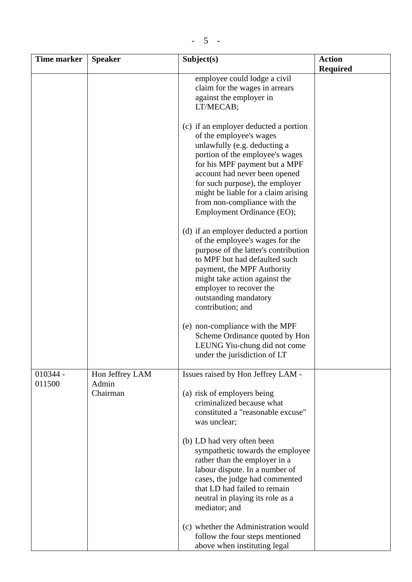| <b>Time marker</b>   | <b>Speaker</b>                       | Subject(s)                                                                                                                                                                                                                                                                                                                                    | <b>Action</b>   |
|----------------------|--------------------------------------|-----------------------------------------------------------------------------------------------------------------------------------------------------------------------------------------------------------------------------------------------------------------------------------------------------------------------------------------------|-----------------|
|                      |                                      |                                                                                                                                                                                                                                                                                                                                               | <b>Required</b> |
|                      |                                      | employee could lodge a civil<br>claim for the wages in arrears<br>against the employer in<br>LT/MECAB;                                                                                                                                                                                                                                        |                 |
|                      |                                      | (c) if an employer deducted a portion<br>of the employee's wages<br>unlawfully (e.g. deducting a<br>portion of the employee's wages<br>for his MPF payment but a MPF<br>account had never been opened<br>for such purpose), the employer<br>might be liable for a claim arising<br>from non-compliance with the<br>Employment Ordinance (EO); |                 |
|                      |                                      | (d) if an employer deducted a portion<br>of the employee's wages for the<br>purpose of the latter's contribution<br>to MPF but had defaulted such<br>payment, the MPF Authority<br>might take action against the<br>employer to recover the<br>outstanding mandatory<br>contribution; and                                                     |                 |
|                      |                                      | (e) non-compliance with the MPF<br>Scheme Ordinance quoted by Hon<br>LEUNG Yiu-chung did not come<br>under the jurisdiction of LT                                                                                                                                                                                                             |                 |
| $010344 -$<br>011500 | Hon Jeffrey LAM<br>Admin<br>Chairman | Issues raised by Hon Jeffrey LAM -<br>(a) risk of employers being<br>criminalized because what<br>constituted a "reasonable excuse"<br>was unclear;<br>(b) LD had very often been<br>sympathetic towards the employee                                                                                                                         |                 |
|                      |                                      | rather than the employer in a<br>labour dispute. In a number of<br>cases, the judge had commented<br>that LD had failed to remain<br>neutral in playing its role as a<br>mediator; and<br>(c) whether the Administration would                                                                                                                |                 |
|                      |                                      | follow the four steps mentioned<br>above when instituting legal                                                                                                                                                                                                                                                                               |                 |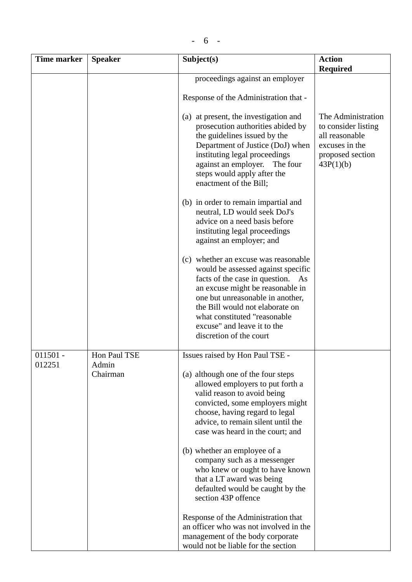| <b>Time marker</b>   | <b>Speaker</b>                    | Subject(s)                                                                                                                                                                                                                                                                                                           | <b>Action</b>                                                                                                  |
|----------------------|-----------------------------------|----------------------------------------------------------------------------------------------------------------------------------------------------------------------------------------------------------------------------------------------------------------------------------------------------------------------|----------------------------------------------------------------------------------------------------------------|
|                      |                                   |                                                                                                                                                                                                                                                                                                                      | <b>Required</b>                                                                                                |
|                      |                                   | proceedings against an employer                                                                                                                                                                                                                                                                                      |                                                                                                                |
|                      |                                   | Response of the Administration that -                                                                                                                                                                                                                                                                                |                                                                                                                |
|                      |                                   | (a) at present, the investigation and<br>prosecution authorities abided by<br>the guidelines issued by the<br>Department of Justice (DoJ) when<br>instituting legal proceedings<br>against an employer.<br>The four<br>steps would apply after the<br>enactment of the Bill;                                         | The Administration<br>to consider listing<br>all reasonable<br>excuses in the<br>proposed section<br>43P(1)(b) |
|                      |                                   | (b) in order to remain impartial and<br>neutral, LD would seek DoJ's<br>advice on a need basis before<br>instituting legal proceedings<br>against an employer; and                                                                                                                                                   |                                                                                                                |
|                      |                                   | (c) whether an excuse was reasonable<br>would be assessed against specific<br>facts of the case in question. As<br>an excuse might be reasonable in<br>one but unreasonable in another,<br>the Bill would not elaborate on<br>what constituted "reasonable<br>excuse" and leave it to the<br>discretion of the court |                                                                                                                |
| $011501 -$<br>012251 | Hon Paul TSE<br>Admin<br>Chairman | Issues raised by Hon Paul TSE -<br>(a) although one of the four steps<br>allowed employers to put forth a<br>valid reason to avoid being<br>convicted, some employers might<br>choose, having regard to legal                                                                                                        |                                                                                                                |
|                      |                                   | advice, to remain silent until the<br>case was heard in the court; and<br>(b) whether an employee of a                                                                                                                                                                                                               |                                                                                                                |
|                      |                                   | company such as a messenger<br>who knew or ought to have known<br>that a LT award was being<br>defaulted would be caught by the<br>section 43P offence                                                                                                                                                               |                                                                                                                |
|                      |                                   | Response of the Administration that<br>an officer who was not involved in the<br>management of the body corporate<br>would not be liable for the section                                                                                                                                                             |                                                                                                                |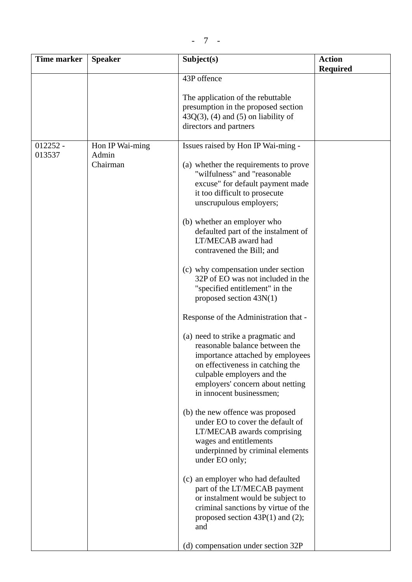| <b>Time marker</b> | <b>Speaker</b>    | Subject(s)                                                                                                                                                                                                                                 | <b>Action</b><br><b>Required</b> |
|--------------------|-------------------|--------------------------------------------------------------------------------------------------------------------------------------------------------------------------------------------------------------------------------------------|----------------------------------|
|                    |                   | 43P offence                                                                                                                                                                                                                                |                                  |
|                    |                   | The application of the rebuttable<br>presumption in the proposed section<br>$43Q(3)$ , (4) and (5) on liability of<br>directors and partners                                                                                               |                                  |
| $012252 -$         | Hon IP Wai-ming   | Issues raised by Hon IP Wai-ming -                                                                                                                                                                                                         |                                  |
| 013537             | Admin<br>Chairman | (a) whether the requirements to prove<br>"wilfulness" and "reasonable<br>excuse" for default payment made<br>it too difficult to prosecute<br>unscrupulous employers;                                                                      |                                  |
|                    |                   | (b) whether an employer who<br>defaulted part of the instalment of<br>LT/MECAB award had<br>contravened the Bill; and                                                                                                                      |                                  |
|                    |                   | (c) why compensation under section<br>32P of EO was not included in the<br>"specified entitlement" in the<br>proposed section $43N(1)$                                                                                                     |                                  |
|                    |                   | Response of the Administration that -                                                                                                                                                                                                      |                                  |
|                    |                   | (a) need to strike a pragmatic and<br>reasonable balance between the<br>importance attached by employees<br>on effectiveness in catching the<br>culpable employers and the<br>employers' concern about netting<br>in innocent businessmen; |                                  |
|                    |                   | (b) the new offence was proposed<br>under EO to cover the default of<br>LT/MECAB awards comprising<br>wages and entitlements<br>underpinned by criminal elements<br>under EO only;                                                         |                                  |
|                    |                   | (c) an employer who had defaulted<br>part of the LT/MECAB payment<br>or instalment would be subject to<br>criminal sanctions by virtue of the<br>proposed section $43P(1)$ and (2);<br>and                                                 |                                  |
|                    |                   | (d) compensation under section 32P                                                                                                                                                                                                         |                                  |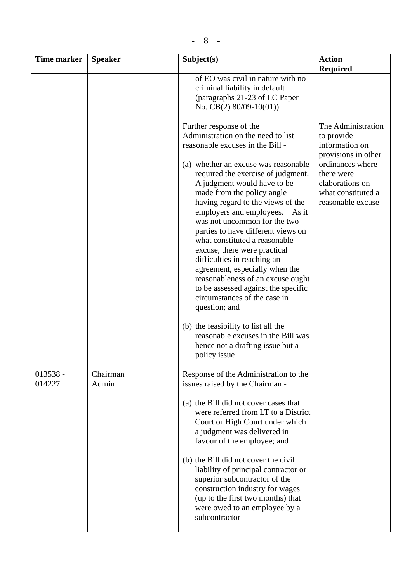| <b>Time marker</b>   | <b>Speaker</b>    | Subject(s)                                                                                                                                                                                                                                                                                                                                                                                                                                                                                                                                                                                                                                                                                                                                                                                   | <b>Action</b><br><b>Required</b>                                                                                                                                          |
|----------------------|-------------------|----------------------------------------------------------------------------------------------------------------------------------------------------------------------------------------------------------------------------------------------------------------------------------------------------------------------------------------------------------------------------------------------------------------------------------------------------------------------------------------------------------------------------------------------------------------------------------------------------------------------------------------------------------------------------------------------------------------------------------------------------------------------------------------------|---------------------------------------------------------------------------------------------------------------------------------------------------------------------------|
|                      |                   | of EO was civil in nature with no<br>criminal liability in default<br>(paragraphs 21-23 of LC Paper<br>No. CB $(2)$ 80/09-10(01))                                                                                                                                                                                                                                                                                                                                                                                                                                                                                                                                                                                                                                                            |                                                                                                                                                                           |
|                      |                   | Further response of the<br>Administration on the need to list<br>reasonable excuses in the Bill -<br>(a) whether an excuse was reasonable<br>required the exercise of judgment.<br>A judgment would have to be<br>made from the policy angle<br>having regard to the views of the<br>employers and employees.<br>As it<br>was not uncommon for the two<br>parties to have different views on<br>what constituted a reasonable<br>excuse, there were practical<br>difficulties in reaching an<br>agreement, especially when the<br>reasonableness of an excuse ought<br>to be assessed against the specific<br>circumstances of the case in<br>question; and<br>(b) the feasibility to list all the<br>reasonable excuses in the Bill was<br>hence not a drafting issue but a<br>policy issue | The Administration<br>to provide<br>information on<br>provisions in other<br>ordinances where<br>there were<br>elaborations on<br>what constituted a<br>reasonable excuse |
| $013538 -$<br>014227 | Chairman<br>Admin | Response of the Administration to the<br>issues raised by the Chairman -<br>(a) the Bill did not cover cases that<br>were referred from LT to a District<br>Court or High Court under which<br>a judgment was delivered in<br>favour of the employee; and<br>(b) the Bill did not cover the civil<br>liability of principal contractor or<br>superior subcontractor of the<br>construction industry for wages<br>(up to the first two months) that<br>were owed to an employee by a<br>subcontractor                                                                                                                                                                                                                                                                                         |                                                                                                                                                                           |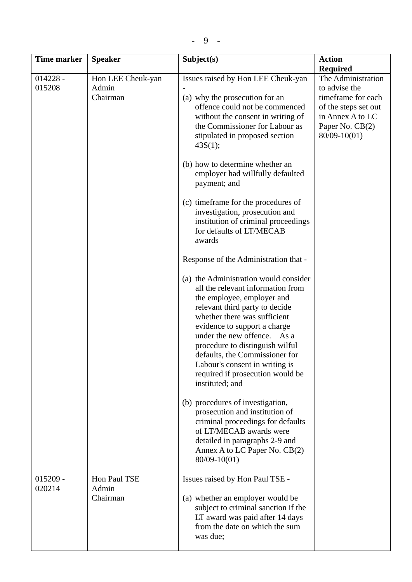| <b>Time marker</b>   | <b>Speaker</b>                         | Subject(s)                                                                                                                                                                                                                                                                                                                                                                                                                                                              | <b>Action</b>                                                                                                                            |
|----------------------|----------------------------------------|-------------------------------------------------------------------------------------------------------------------------------------------------------------------------------------------------------------------------------------------------------------------------------------------------------------------------------------------------------------------------------------------------------------------------------------------------------------------------|------------------------------------------------------------------------------------------------------------------------------------------|
|                      |                                        |                                                                                                                                                                                                                                                                                                                                                                                                                                                                         | <b>Required</b>                                                                                                                          |
| $014228 -$<br>015208 | Hon LEE Cheuk-yan<br>Admin<br>Chairman | Issues raised by Hon LEE Cheuk-yan<br>(a) why the prosecution for an<br>offence could not be commenced<br>without the consent in writing of<br>the Commissioner for Labour as<br>stipulated in proposed section<br>43S(1);<br>(b) how to determine whether an<br>employer had willfully defaulted<br>payment; and<br>(c) timeframe for the procedures of<br>investigation, prosecution and<br>institution of criminal proceedings<br>for defaults of LT/MECAB<br>awards | The Administration<br>to advise the<br>timeframe for each<br>of the steps set out<br>in Annex A to LC<br>Paper No. CB(2)<br>80/09-10(01) |
|                      |                                        | Response of the Administration that -<br>(a) the Administration would consider<br>all the relevant information from<br>the employee, employer and<br>relevant third party to decide<br>whether there was sufficient<br>evidence to support a charge<br>under the new offence. As a<br>procedure to distinguish wilful<br>defaults, the Commissioner for<br>Labour's consent in writing is<br>required if prosecution would be<br>instituted; and                        |                                                                                                                                          |
|                      |                                        | (b) procedures of investigation,<br>prosecution and institution of<br>criminal proceedings for defaults<br>of LT/MECAB awards were<br>detailed in paragraphs 2-9 and<br>Annex A to LC Paper No. CB(2)<br>80/09-10(01)                                                                                                                                                                                                                                                   |                                                                                                                                          |
| $015209 -$<br>020214 | Hon Paul TSE<br>Admin<br>Chairman      | Issues raised by Hon Paul TSE -<br>(a) whether an employer would be<br>subject to criminal sanction if the<br>LT award was paid after 14 days<br>from the date on which the sum<br>was due;                                                                                                                                                                                                                                                                             |                                                                                                                                          |